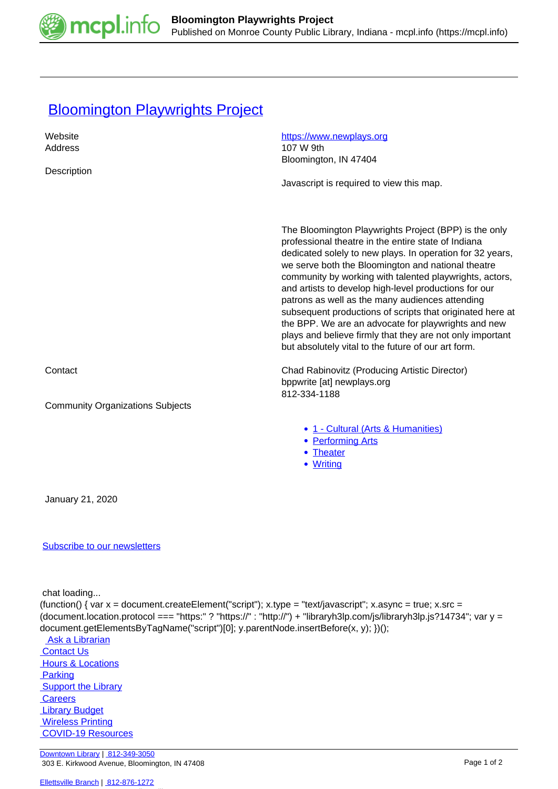

## **[Bloomington Playwrights Project](https://mcpl.info/commorg/bloomington-playwrights-project)**

| Website                                 | https://www.newplays.org<br>107 W 9th                                                                                                                                                                                                                                                                                                                                                                                                                                                                                                                                                                                                          |
|-----------------------------------------|------------------------------------------------------------------------------------------------------------------------------------------------------------------------------------------------------------------------------------------------------------------------------------------------------------------------------------------------------------------------------------------------------------------------------------------------------------------------------------------------------------------------------------------------------------------------------------------------------------------------------------------------|
| Address                                 | Bloomington, IN 47404                                                                                                                                                                                                                                                                                                                                                                                                                                                                                                                                                                                                                          |
| Description                             |                                                                                                                                                                                                                                                                                                                                                                                                                                                                                                                                                                                                                                                |
|                                         | Javascript is required to view this map.                                                                                                                                                                                                                                                                                                                                                                                                                                                                                                                                                                                                       |
|                                         |                                                                                                                                                                                                                                                                                                                                                                                                                                                                                                                                                                                                                                                |
|                                         |                                                                                                                                                                                                                                                                                                                                                                                                                                                                                                                                                                                                                                                |
|                                         | The Bloomington Playwrights Project (BPP) is the only<br>professional theatre in the entire state of Indiana<br>dedicated solely to new plays. In operation for 32 years,<br>we serve both the Bloomington and national theatre<br>community by working with talented playwrights, actors,<br>and artists to develop high-level productions for our<br>patrons as well as the many audiences attending<br>subsequent productions of scripts that originated here at<br>the BPP. We are an advocate for playwrights and new<br>plays and believe firmly that they are not only important<br>but absolutely vital to the future of our art form. |
| Contact                                 | Chad Rabinovitz (Producing Artistic Director)<br>bppwrite [at] newplays.org<br>812-334-1188                                                                                                                                                                                                                                                                                                                                                                                                                                                                                                                                                    |
| <b>Community Organizations Subjects</b> |                                                                                                                                                                                                                                                                                                                                                                                                                                                                                                                                                                                                                                                |
|                                         | • 1 - Cultural (Arts & Humanities)<br>• Performing Arts<br>• Theater<br>• Writing                                                                                                                                                                                                                                                                                                                                                                                                                                                                                                                                                              |
| January 21, 2020                        |                                                                                                                                                                                                                                                                                                                                                                                                                                                                                                                                                                                                                                                |
| <b>Subscribe to our newsletters</b>     |                                                                                                                                                                                                                                                                                                                                                                                                                                                                                                                                                                                                                                                |
|                                         |                                                                                                                                                                                                                                                                                                                                                                                                                                                                                                                                                                                                                                                |

chat loading...

(function() { var  $x =$  document.createElement("script");  $x.$ type = "text/javascript";  $x.$ async = true;  $x.$ src = (document.location.protocol === "https:" ? "https://" : "http://") + "libraryh3lp.com/js/libraryh3lp.js?14734"; var y = document.getElementsByTagName("script")[0]; y.parentNode.insertBefore(x, y); })();

**Ask a Librarian**  [Contact Us](https://mcpl.info/geninfo/contact-us) **Hours & Locations Parking Support the Library Careers**  [Library Budget](https://budgetnotices.in.gov/unit_lookup.aspx?ct=53000) **Wireless Printing**  [COVID-19 Resources](https://mcpl.info/geninfo/local-covid-resources)